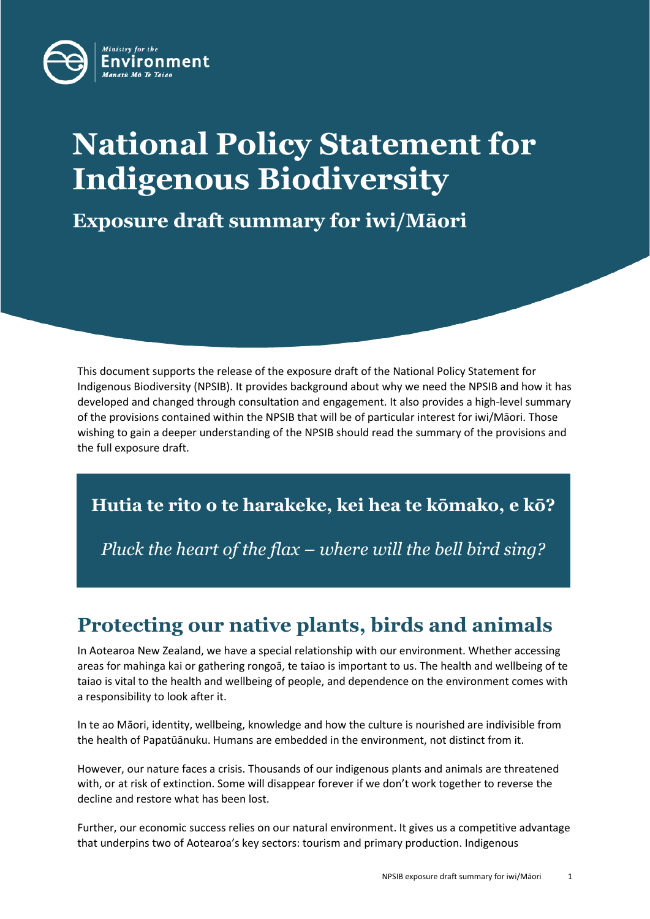

# **National Policy Statement for Indigenous Biodiversity**

**Exposure draft summary for iwi/Māori**

This document supports the release of the exposure draft of the National Policy Statement for Indigenous Biodiversity (NPSIB). It provides background about why we need the NPSIB and how it has developed and changed through consultation and engagement. It also provides a high-level summary of the provisions contained within the NPSIB that will be of particular interest for iwi/Māori. Those wishing to gain a deeper understanding of the NPSIB should read the summary of the provisions and the full exposure draft.

**Hutia te rito o te harakeke, kei hea te kōmako, e kō?**

*Pluck the heart of the flax – where will the bell bird sing?*

# **Protecting our native plants, birds and animals**

In Aotearoa New Zealand, we have a special relationship with our environment. Whether accessing areas for mahinga kai or gathering rongoā, te taiao is important to us. The health and wellbeing of te taiao is vital to the health and wellbeing of people, and dependence on the environment comes with a responsibility to look after it.

In te ao Māori, identity, wellbeing, knowledge and how the culture is nourished are indivisible from the health of Papatūānuku. Humans are embedded in the environment, not distinct from it.

However, our nature faces a crisis. Thousands of our indigenous plants and animals are threatened with, or at risk of extinction. Some will disappear forever if we don't work together to reverse the decline and restore what has been lost.

Further, our economic success relies on our natural environment. It gives us a competitive advantage that underpins two of Aotearoa's key sectors: tourism and primary production. Indigenous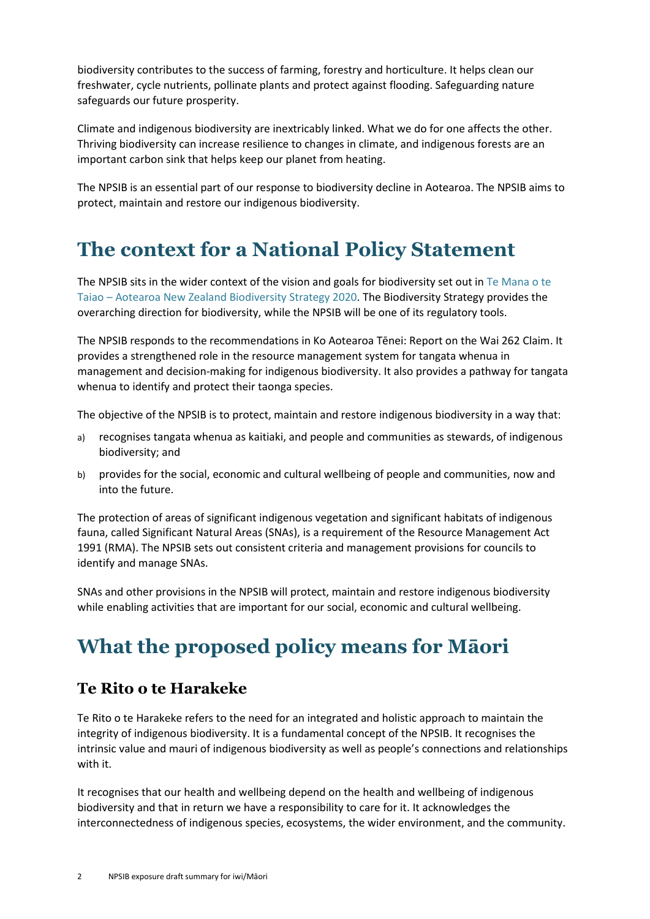biodiversity contributes to the success of farming, forestry and horticulture. It helps clean our freshwater, cycle nutrients, pollinate plants and protect against flooding. Safeguarding nature safeguards our future prosperity.

Climate and indigenous biodiversity are inextricably linked. What we do for one affects the other. Thriving biodiversity can increase resilience to changes in climate, and indigenous forests are an important carbon sink that helps keep our planet from heating.

The NPSIB is an essential part of our response to biodiversity decline in Aotearoa. The NPSIB aims to protect, maintain and restore our indigenous biodiversity.

### **The context for a National Policy Statement**

The NPSIB sits in the wider context of the vision and goals for biodiversity set out in [Te Mana o te](https://www.doc.govt.nz/nature/biodiversity/aotearoa-new-zealand-biodiversity-strategy/)  Taiao – [Aotearoa New Zealand Biodiversity Strategy 2020.](https://www.doc.govt.nz/nature/biodiversity/aotearoa-new-zealand-biodiversity-strategy/) The Biodiversity Strategy provides the overarching direction for biodiversity, while the NPSIB will be one of its regulatory tools.

The NPSIB responds to the recommendations in Ko Aotearoa Tēnei: Report on the Wai 262 Claim. It provides a strengthened role in the resource management system for tangata whenua in management and decision-making for indigenous biodiversity. It also provides a pathway for tangata whenua to identify and protect their taonga species.

The objective of the NPSIB is to protect, maintain and restore indigenous biodiversity in a way that:

- a) recognises tangata whenua as kaitiaki, and people and communities as stewards, of indigenous biodiversity; and
- b) provides for the social, economic and cultural wellbeing of people and communities, now and into the future.

The protection of areas of significant indigenous vegetation and significant habitats of indigenous fauna, called Significant Natural Areas (SNAs), is a requirement of the Resource Management Act 1991 (RMA). The NPSIB sets out consistent criteria and management provisions for councils to identify and manage SNAs.

SNAs and other provisions in the NPSIB will protect, maintain and restore indigenous biodiversity while enabling activities that are important for our social, economic and cultural wellbeing.

# **What the proposed policy means for Māori**

#### **Te Rito o te Harakeke**

Te Rito o te Harakeke refers to the need for an integrated and holistic approach to maintain the integrity of indigenous biodiversity. It is a fundamental concept of the NPSIB. It recognises the intrinsic value and mauri of indigenous biodiversity as well as people's connections and relationships with it.

It recognises that our health and wellbeing depend on the health and wellbeing of indigenous biodiversity and that in return we have a responsibility to care for it. It acknowledges the interconnectedness of indigenous species, ecosystems, the wider environment, and the community.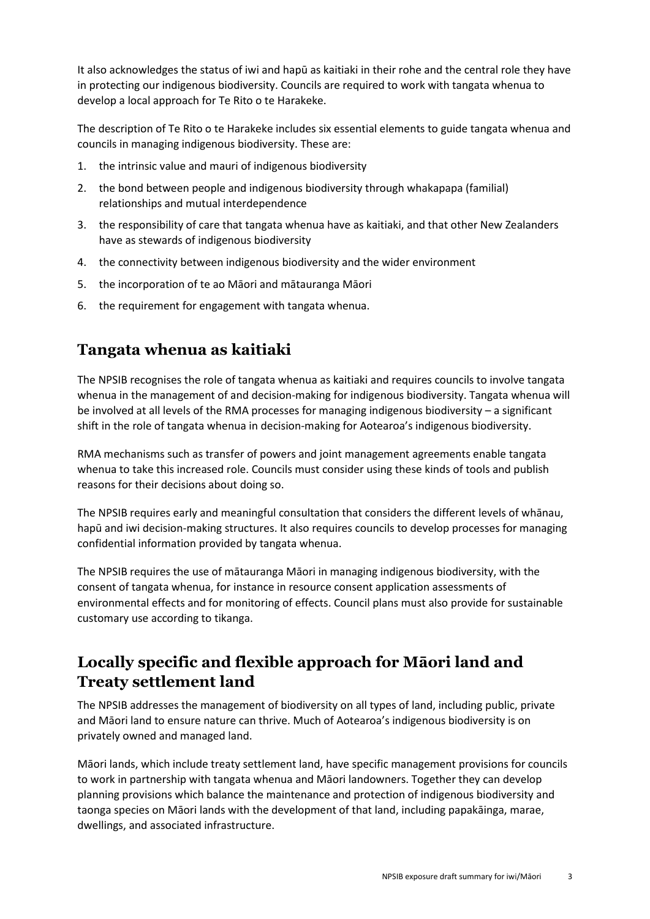It also acknowledges the status of iwi and hapū as kaitiaki in their rohe and the central role they have in protecting our indigenous biodiversity. Councils are required to work with tangata whenua to develop a local approach for Te Rito o te Harakeke.

The description of Te Rito o te Harakeke includes six essential elements to guide tangata whenua and councils in managing indigenous biodiversity. These are:

- 1. the intrinsic value and mauri of indigenous biodiversity
- 2. the bond between people and indigenous biodiversity through whakapapa (familial) relationships and mutual interdependence
- 3. the responsibility of care that tangata whenua have as kaitiaki, and that other New Zealanders have as stewards of indigenous biodiversity
- 4. the connectivity between indigenous biodiversity and the wider environment
- 5. the incorporation of te ao Māori and mātauranga Māori
- 6. the requirement for engagement with tangata whenua.

#### **Tangata whenua as kaitiaki**

The NPSIB recognises the role of tangata whenua as kaitiaki and requires councils to involve tangata whenua in the management of and decision-making for indigenous biodiversity. Tangata whenua will be involved at all levels of the RMA processes for managing indigenous biodiversity – a significant shift in the role of tangata whenua in decision-making for Aotearoa's indigenous biodiversity.

RMA mechanisms such as transfer of powers and joint management agreements enable tangata whenua to take this increased role. Councils must consider using these kinds of tools and publish reasons for their decisions about doing so.

The NPSIB requires early and meaningful consultation that considers the different levels of whānau, hapū and iwi decision-making structures. It also requires councils to develop processes for managing confidential information provided by tangata whenua.

The NPSIB requires the use of mātauranga Māori in managing indigenous biodiversity, with the consent of tangata whenua, for instance in resource consent application assessments of environmental effects and for monitoring of effects. Council plans must also provide for sustainable customary use according to tikanga.

#### **Locally specific and flexible approach for Māori land and Treaty settlement land**

The NPSIB addresses the management of biodiversity on all types of land, including public, private and Māori land to ensure nature can thrive. Much of Aotearoa's indigenous biodiversity is on privately owned and managed land.

Māori lands, which include treaty settlement land, have specific management provisions for councils to work in partnership with tangata whenua and Māori landowners. Together they can develop planning provisions which balance the maintenance and protection of indigenous biodiversity and taonga species on Māori lands with the development of that land, including papakāinga, marae, dwellings, and associated infrastructure.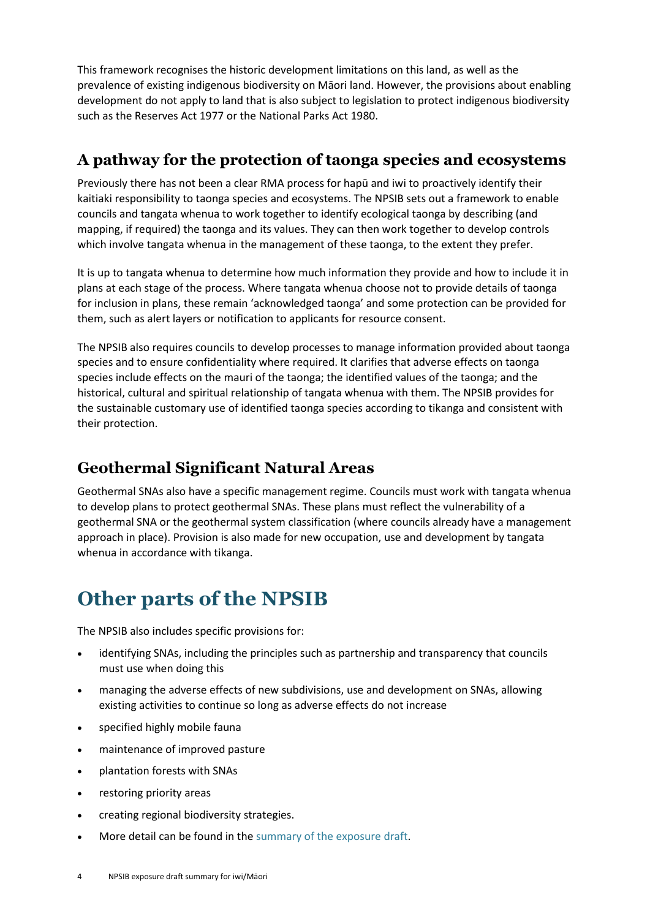This framework recognises the historic development limitations on this land, as well as the prevalence of existing indigenous biodiversity on Māori land. However, the provisions about enabling development do not apply to land that is also subject to legislation to protect indigenous biodiversity such as the Reserves Act 1977 or the National Parks Act 1980.

#### **A pathway for the protection of taonga species and ecosystems**

Previously there has not been a clear RMA process for hapū and iwi to proactively identify their kaitiaki responsibility to taonga species and ecosystems. The NPSIB sets out a framework to enable councils and tangata whenua to work together to identify ecological taonga by describing (and mapping, if required) the taonga and its values. They can then work together to develop controls which involve tangata whenua in the management of these taonga, to the extent they prefer.

It is up to tangata whenua to determine how much information they provide and how to include it in plans at each stage of the process. Where tangata whenua choose not to provide details of taonga for inclusion in plans, these remain 'acknowledged taonga' and some protection can be provided for them, such as alert layers or notification to applicants for resource consent.

The NPSIB also requires councils to develop processes to manage information provided about taonga species and to ensure confidentiality where required. It clarifies that adverse effects on taonga species include effects on the mauri of the taonga; the identified values of the taonga; and the historical, cultural and spiritual relationship of tangata whenua with them. The NPSIB provides for the sustainable customary use of identified taonga species according to tikanga and consistent with their protection.

#### **Geothermal Significant Natural Areas**

Geothermal SNAs also have a specific management regime. Councils must work with tangata whenua to develop plans to protect geothermal SNAs. These plans must reflect the vulnerability of a geothermal SNA or the geothermal system classification (where councils already have a management approach in place). Provision is also made for new occupation, use and development by tangata whenua in accordance with tikanga.

### **Other parts of the NPSIB**

The NPSIB also includes specific provisions for:

- identifying SNAs, including the principles such as partnership and transparency that councils must use when doing this
- managing the adverse effects of new subdivisions, use and development on SNAs, allowing existing activities to continue so long as adverse effects do not increase
- specified highly mobile fauna
- maintenance of improved pasture
- plantation forests with SNAs
- restoring priority areas
- creating regional biodiversity strategies.
- More detail can be found in th[e summary of the](https://environment.govt.nz/publications/national-policy-statement-for-indigenous-biodiversity-draft-implementation-plan) exposure draft.